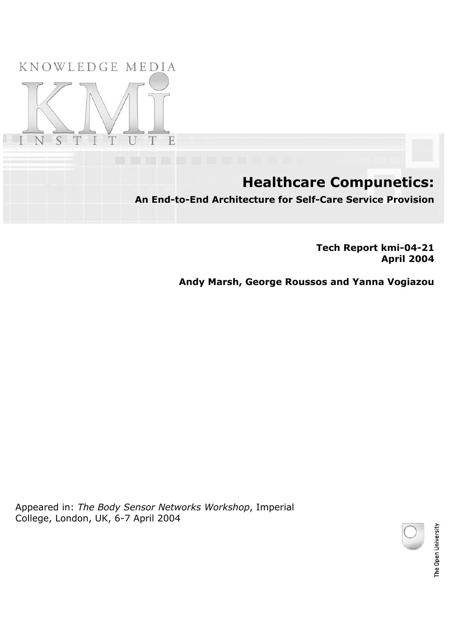### KNOWLEDGE MEDIA



## **Healthcare Compunetics:**

**An End-to-End Architecture for Self-Care Service Provision**

**Tech Report kmi-04-21 April 2004**

**Andy Marsh, George Roussos and Yanna Vogiazou**

Appeared in: *The Body Sensor Networks Workshop*, Imperial College, London, UK, 6-7 April 2004

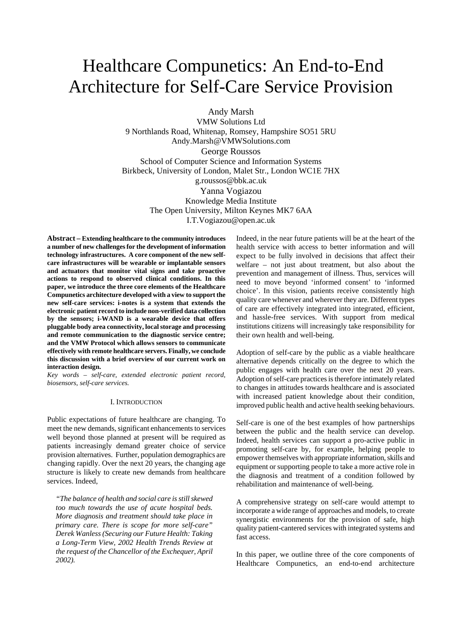# Healthcare Compunetics: An End-to-End Architecture for Self-Care Service Provision

Andy Marsh

VMW Solutions Ltd 9 Northlands Road, Whitenap, Romsey, Hampshire SO51 5RU Andy.Marsh@VMWSolutions.com George Roussos School of Computer Science and Information Systems Birkbeck, University of London, Malet Str., London WC1E 7HX g.roussos@bbk.ac.uk Yanna Vogiazou Knowledge Media Institute The Open University, Milton Keynes MK7 6AA I.T.Vogiazou@open.ac.uk

**Abstract – Extending healthcare to the community introduces a number of new challenges for the development of information technology infrastructures. A core component of the new selfcare infrastructures will be wearable or implantable sensors and actuators that monitor vital signs and take proactive actions to respond to observed clinical conditions. In this paper, we introduce the three core elements of the Healthcare Compunetics architecture developed with a view to support the new self-care services: i-notes is a system that extends the electronic patient record to include non-verified data collection by the sensors; i-WAND is a wearable device that offers pluggable body area connectivity, local storage and processing and remote communication to the diagnostic service centre; and the VMW Protocol which allows sensors to communicate effectively with remote healthcare servers. Finally, we conclude this discussion with a brief overview of our current work on interaction design.** 

*Key words – self-care, extended electronic patient record, biosensors, self-care services.*

#### I. INTRODUCTION

Public expectations of future healthcare are changing. To meet the new demands, significant enhancements to services well beyond those planned at present will be required as patients increasingly demand greater choice of service provision alternatives. Further, population demographics are changing rapidly. Over the next 20 years, the changing age structure is likely to create new demands from healthcare services. Indeed,

*"The balance of health and social care is still skewed too much towards the use of acute hospital beds. More diagnosis and treatment should take place in primary care. There is scope for more self-care" Derek Wanless (Securing our Future Health: Taking a Long-Term View, 2002 Health Trends Review at the request of the Chancellor of the Exchequer, April 2002).* 

Indeed, in the near future patients will be at the heart of the health service with access to better information and will expect to be fully involved in decisions that affect their welfare – not just about treatment, but also about the prevention and management of illness. Thus, services will need to move beyond 'informed consent' to 'informed choice'. In this vision, patients receive consistently high quality care whenever and wherever they are. Different types of care are effectively integrated into integrated, efficient, and hassle-free services. With support from medical institutions citizens will increasingly take responsibility for their own health and well-being.

Adoption of self-care by the public as a viable healthcare alternative depends critically on the degree to which the public engages with health care over the next 20 years. Adoption of self-care practices is therefore intimately related to changes in attitudes towards healthcare and is associated with increased patient knowledge about their condition, improved public health and active health seeking behaviours.

Self-care is one of the best examples of how partnerships between the public and the health service can develop. Indeed, health services can support a pro-active public in promoting self-care by, for example, helping people to empower themselves with appropriate information, skills and equipment or supporting people to take a more active role in the diagnosis and treatment of a condition followed by rehabilitation and maintenance of well-being.

A comprehensive strategy on self-care would attempt to incorporate a wide range of approaches and models, to create synergistic environments for the provision of safe, high quality patient-cantered services with integrated systems and fast access.

In this paper, we outline three of the core components of Healthcare Compunetics, an end-to-end architecture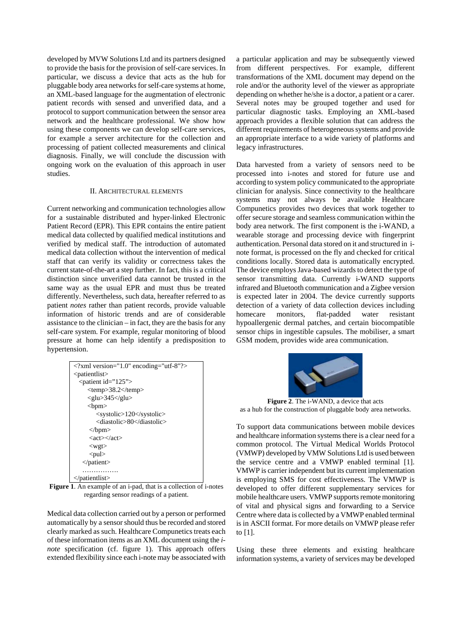developed by MVW Solutions Ltd and its partners designed to provide the basis for the provision of self-care services. In particular, we discuss a device that acts as the hub for pluggable body area networks for self-care systems at home, an XML-based language for the augmentation of electronic patient records with sensed and unverified data, and a protocol to support communication between the sensor area network and the healthcare professional. We show how using these components we can develop self-care services, for example a server architecture for the collection and processing of patient collected measurements and clinical diagnosis. Finally, we will conclude the discussion with ongoing work on the evaluation of this approach in user studies.

#### II. ARCHITECTURAL ELEMENTS

Current networking and communication technologies allow for a sustainable distributed and hyper-linked Electronic Patient Record (EPR). This EPR contains the entire patient medical data collected by qualified medical institutions and verified by medical staff. The introduction of automated medical data collection without the intervention of medical staff that can verify its validity or correctness takes the current state-of-the-art a step further. In fact, this is a critical distinction since unverified data cannot be trusted in the same way as the usual EPR and must thus be treated differently. Nevertheless, such data, hereafter referred to as patient *notes* rather than patient records, provide valuable information of historic trends and are of considerable assistance to the clinician – in fact, they are the basis for any self-care system. For example, regular monitoring of blood pressure at home can help identify a predisposition to hypertension.

| xml version="1.0" encoding="utf-8"?                   |
|-------------------------------------------------------|
| $\le$ patientlist $\ge$                               |
| $\epsilon$ <patient id="125"></patient>               |
| $<$ temp>38.2 $<$ /temp>                              |
| $\langle$ glu>345 $\langle$ glu>                      |
| <br>300                                               |
| <systolic>120</systolic>                              |
| <diastolic>80</diastolic>                             |
| $<$ /bpm $>$                                          |
| $\langle \text{act}\rangle \langle \text{act}\rangle$ |
| $<$ wgt $>$                                           |
| $<$ pul $>$                                           |
| $\triangle$ patient $\triangleright$                  |
|                                                       |
| and the second contract of the second                 |

</patientlist>

**Figure 1**. An example of an i-pad, that is a collection of i-notes regarding sensor readings of a patient.

Medical data collection carried out by a person or performed automatically by a sensor should thus be recorded and stored clearly marked as such. Healthcare Compunetics treats each of these information items as an XML document using the *inote* specification (cf. figure 1). This approach offers extended flexibility since each i-note may be associated with a particular application and may be subsequently viewed from different perspectives. For example, different transformations of the XML document may depend on the role and/or the authority level of the viewer as appropriate depending on whether he/she is a doctor, a patient or a carer. Several notes may be grouped together and used for particular diagnostic tasks. Employing an XML-based approach provides a flexible solution that can address the different requirements of heterogeneous systems and provide an appropriate interface to a wide variety of platforms and legacy infrastructures.

Data harvested from a variety of sensors need to be processed into i-notes and stored for future use and according to system policy communicated to the appropriate clinician for analysis. Since connectivity to the healthcare systems may not always be available Healthcare Compunetics provides two devices that work together to offer secure storage and seamless communication within the body area network. The first component is the i-WAND, a wearable storage and processing device with fingerprint authentication. Personal data stored on it and structured in inote format, is processed on the fly and checked for critical conditions locally. Stored data is automatically encrypted. The device employs Java-based wizards to detect the type of sensor transmitting data. Currently i-WAND supports infrared and Bluetooth communication and a Zigbee version is expected later in 2004. The device currently supports detection of a variety of data collection devices including homecare monitors, flat-padded water resistant hypoallergenic dermal patches, and certain biocompatible sensor chips in ingestible capsules. The mobiliser, a smart GSM modem, provides wide area communication.



**Figure 2**. The i-WAND, a device that acts as a hub for the construction of pluggable body area networks.

To support data communications between mobile devices and healthcare information systems there is a clear need for a common protocol. The Virtual Medical Worlds Protocol (VMWP) developed by VMW Solutions Ltd is used between the service centre and a VMWP enabled terminal [1]. VMWP is carrier independent but its current implementation is employing SMS for cost effectiveness. The VMWP is developed to offer different supplementary services for mobile healthcare users. VMWP supports remote monitoring of vital and physical signs and forwarding to a Service Centre where data is collected by a VMWP enabled terminal is in ASCII format. For more details on VMWP please refer to [1].

Using these three elements and existing healthcare information systems, a variety of services may be developed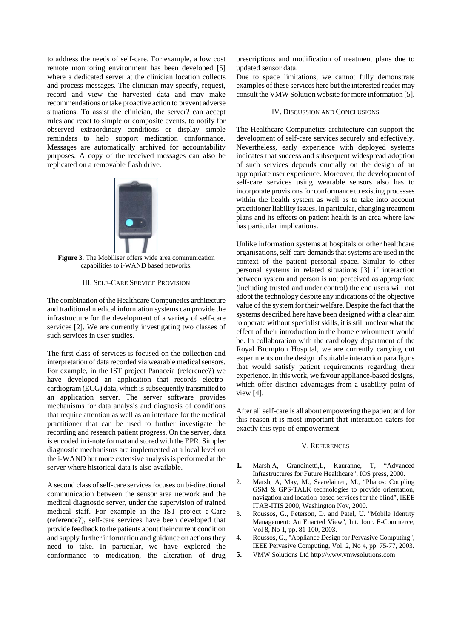to address the needs of self-care. For example, a low cost remote monitoring environment has been developed [5] where a dedicated server at the clinician location collects and process messages. The clinician may specify, request, record and view the harvested data and may make recommendations or take proactive action to prevent adverse situations. To assist the clinician, the server? can accept rules and react to simple or composite events, to notify for observed extraordinary conditions or display simple reminders to help support medication conformance. Messages are automatically archived for accountability purposes. A copy of the received messages can also be replicated on a removable flash drive.



**Figure 3**. The Mobiliser offers wide area communication capabilities to i-WAND based networks.

#### III. SELF-CARE SERVICE PROVISION

The combination of the Healthcare Compunetics architecture and traditional medical information systems can provide the infrastructure for the development of a variety of self-care services [2]. We are currently investigating two classes of such services in user studies.

The first class of services is focused on the collection and interpretation of data recorded via wearable medical sensors. For example, in the IST project Panaceia (reference?) we have developed an application that records electrocardiogram (ECG) data, which is subsequently transmitted to an application server. The server software provides mechanisms for data analysis and diagnosis of conditions that require attention as well as an interface for the medical practitioner that can be used to further investigate the recording and research patient progress. On the server, data is encoded in i-note format and stored with the EPR. Simpler diagnostic mechanisms are implemented at a local level on the i-WAND but more extensive analysis is performed at the server where historical data is also available.

A second class of self-care services focuses on bi-directional communication between the sensor area network and the medical diagnostic server, under the supervision of trained medical staff. For example in the IST project e-Care (reference?), self-care services have been developed that provide feedback to the patients about their current condition and supply further information and guidance on actions they need to take. In particular, we have explored the conformance to medication, the alteration of drug

prescriptions and modification of treatment plans due to updated sensor data.

Due to space limitations, we cannot fully demonstrate examples of these services here but the interested reader may consult the VMW Solution website for more information [5].

#### IV. DISCUSSION AND CONCLUSIONS

The Healthcare Compunetics architecture can support the development of self-care services securely and effectively. Nevertheless, early experience with deployed systems indicates that success and subsequent widespread adoption of such services depends crucially on the design of an appropriate user experience. Moreover, the development of self-care services using wearable sensors also has to incorporate provisions for conformance to existing processes within the health system as well as to take into account practitioner liability issues. In particular, changing treatment plans and its effects on patient health is an area where law has particular implications.

Unlike information systems at hospitals or other healthcare organisations, self-care demands that systems are used in the context of the patient personal space. Similar to other personal systems in related situations [3] if interaction between system and person is not perceived as appropriate (including trusted and under control) the end users will not adopt the technology despite any indications of the objective value of the system for their welfare. Despite the fact that the systems described here have been designed with a clear aim to operate without specialist skills, it is still unclear what the effect of their introduction in the home environment would be. In collaboration with the cardiology department of the Royal Brompton Hospital, we are currently carrying out experiments on the design of suitable interaction paradigms that would satisfy patient requirements regarding their experience. In this work, we favour appliance-based designs, which offer distinct advantages from a usability point of view [4].

After all self-care is all about empowering the patient and for this reason it is most important that interaction caters for exactly this type of empowerment.

#### V. REFERENCES

- **1.** Marsh,A, Grandinetti,L, Kauranne, T, "Advanced Infrastructures for Future Healthcare", IOS press, 2000.
- 2. Marsh, A, May, M., Saarelainen, M., "Pharos: Coupling GSM & GPS-TALK technologies to provide orientation, navigation and location-based services for the blind", IEEE ITAB-ITIS 2000, Washington Nov, 2000.
- 3. Roussos, G., Peterson, D. and Patel, U. "Mobile Identity Management: An Enacted View", Int. Jour. E-Commerce, Vol 8, No 1, pp. 81-100, 2003.
- 4. Roussos, G., "Appliance Design for Pervasive Computing", IEEE Pervasive Computing, Vol. 2, No 4, pp. 75-77, 2003.
- **5.** VMW Solutions Ltd http://www.vmwsolutions.com